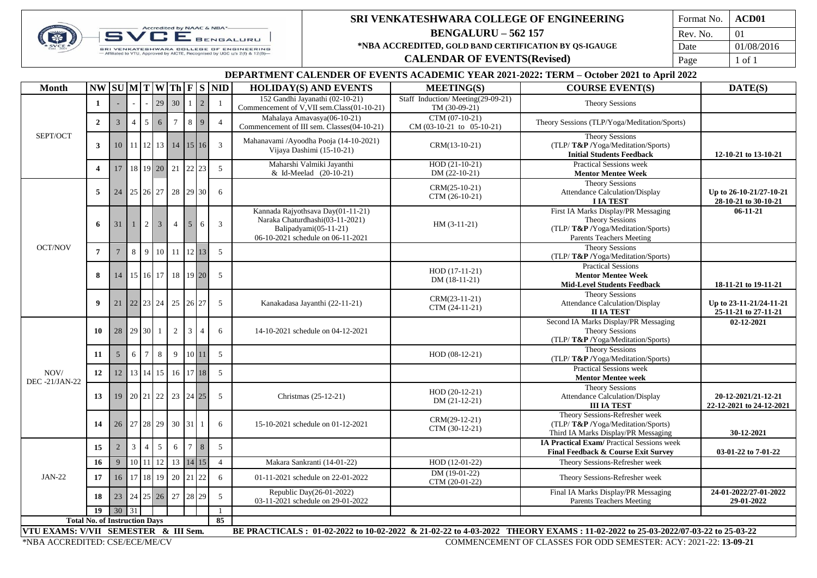

## **SRI VENKATESHWARA COLLEGE OF ENGINEERING BENGALURU – 562 157 \*NBA ACCREDITED, GOLD BAND CERTIFICATION BY QS-IGAUGE**

**CALENDAR OF EVENTS(Revised)**

| Format No. | ACD <sub>01</sub> |  |  |  |
|------------|-------------------|--|--|--|
| Rev. No.   | 01                |  |  |  |
| Date       | 01/08/2016        |  |  |  |
| Page       | 1 of 1            |  |  |  |

## **DEPARTMENT CALENDER OF EVENTS ACADEMIC YEAR 2021-2022: TERM – October 2021 to April 2022**

| <b>Month</b>                                                                                                                                                        |                  |                |                |                 |                 |                |        |                          | $NW$ SUM TWTh FS ND | <b>HOLIDAY(S) AND EVENTS</b>                                                                                                       | <b>MEETING(S)</b>                             | <b>COURSE EVENT(S)</b>                                                                                                               | DATE(S)                                         |
|---------------------------------------------------------------------------------------------------------------------------------------------------------------------|------------------|----------------|----------------|-----------------|-----------------|----------------|--------|--------------------------|---------------------|------------------------------------------------------------------------------------------------------------------------------------|-----------------------------------------------|--------------------------------------------------------------------------------------------------------------------------------------|-------------------------------------------------|
|                                                                                                                                                                     | $\mathbf{1}$     |                |                |                 | 29              | 30             |        | $\overline{2}$           | $\mathbf{1}$        | 152 Gandhi Jayanathi (02-10-21)                                                                                                    | Staff Induction/Meeting(29-09-21)             | <b>Theory Sessions</b>                                                                                                               |                                                 |
|                                                                                                                                                                     |                  |                |                |                 |                 |                |        |                          |                     | Commencement of V, VII sem.Class(01-10-21)                                                                                         |                                               | TM (30-09-21)                                                                                                                        |                                                 |
|                                                                                                                                                                     | $\overline{2}$   | $\overline{3}$ | $\overline{4}$ | $5\overline{)}$ | 6               |                | 8      | 9                        | $\overline{4}$      | Mahalaya Amavasya(06-10-21)<br>Commencement of III sem. Classes(04-10-21)                                                          | CTM (07-10-21)<br>$CM (03-10-21 to 05-10-21)$ | Theory Sessions (TLP/Yoga/Meditation/Sports)                                                                                         |                                                 |
| SEPT/OCT                                                                                                                                                            | 3                | 10             |                |                 |                 |                |        | 11 12 13 14 15 16        | $\overline{3}$      | Mahanavami /Ayoodha Pooja (14-10-2021)<br>Vijaya Dashimi (15-10-21)                                                                | CRM(13-10-21)                                 | <b>Theory Sessions</b><br>(TLP/T&P/Yoga/Meditation/Sports)<br><b>Initial Students Feedback</b>                                       | 12-10-21 to 13-10-21                            |
|                                                                                                                                                                     | $\overline{4}$   | 17             |                |                 | 18 19 20 21     |                | 22.    | 23                       | 5                   | Maharshi Valmiki Jayanthi<br>& Id-Meelad (20-10-21)                                                                                | $HOD(21-10-21)$<br>$DM(22-10-21)$             | <b>Practical Sessions week</b><br><b>Mentor Mentee Week</b>                                                                          |                                                 |
|                                                                                                                                                                     | 5                | 24             |                |                 | 25 26 27        |                |        | 28 29 30                 | 6                   |                                                                                                                                    | $CRM(25-10-21)$<br>CTM (26-10-21)             | <b>Theory Sessions</b><br>Attendance Calculation/Display<br><b>I IA TEST</b>                                                         | Up to 26-10-21/27-10-21<br>28-10-21 to 30-10-21 |
|                                                                                                                                                                     | 6                | 31             | $\mathbf{1}$   | 2 l             | $\overline{3}$  | $\overline{4}$ |        | 6                        | $\overline{3}$      | Kannada Rajyothsava Day(01-11-21)<br>Naraka Chaturdhashi(03-11-2021)<br>Balipadyami(05-11-21)<br>06-10-2021 schedule on 06-11-2021 | $HM (3-11-21)$                                | First IA Marks Display/PR Messaging<br><b>Theory Sessions</b><br>(TLP/T&P/Yoga/Meditation/Sports)<br><b>Parents Teachers Meeting</b> | $06-11-21$                                      |
| <b>OCT/NOV</b>                                                                                                                                                      | $\overline{7}$   |                | 8              | 9               | 10              | 11             |        | 12 13                    | 5                   |                                                                                                                                    |                                               | <b>Theory Sessions</b><br>(TLP/T&P/Yoga/Meditation/Sports)                                                                           |                                                 |
|                                                                                                                                                                     | 8                | 14             |                |                 | 15 16 17        |                |        | 18 19 20                 | 5                   |                                                                                                                                    | $HOD(17-11-21)$<br>DM (18-11-21)              | <b>Practical Sessions</b><br><b>Mentor Mentee Week</b><br><b>Mid-Level Students Feedback</b>                                         | 18-11-21 to 19-11-21                            |
|                                                                                                                                                                     | $\boldsymbol{9}$ | 21             |                |                 | 22 23 24        |                |        | 25 26 27                 | 5                   | Kanakadasa Jayanthi (22-11-21)                                                                                                     | CRM(23-11-21)<br>CTM (24-11-21)               | <b>Theory Sessions</b><br>Attendance Calculation/Display<br><b>II IA TEST</b>                                                        | Up to 23-11-21/24-11-21<br>25-11-21 to 27-11-21 |
|                                                                                                                                                                     | 10               | 28             | 29 30          |                 |                 | 2              | 3      | $\boldsymbol{\varDelta}$ | 6                   | 14-10-2021 schedule on 04-12-2021                                                                                                  |                                               | Second IA Marks Display/PR Messaging<br>Theory Sessions<br>(TLP/T&P/Yoga/Meditation/Sports)                                          | 02-12-2021                                      |
|                                                                                                                                                                     | 11               | 5              | 6              | $\tau$          | 8               | 9              |        | $10$ 11                  | 5                   |                                                                                                                                    | $HOD (08-12-21)$                              | <b>Theory Sessions</b><br>(TLP/T&P/Yoga/Meditation/Sports)                                                                           |                                                 |
| NOV/<br><b>DEC-21/JAN-22</b>                                                                                                                                        | 12               | 12             | 13             |                 | 14 15           | 16             |        | 17 18                    | 5                   |                                                                                                                                    |                                               | <b>Practical Sessions week</b><br><b>Mentor Mentee week</b>                                                                          |                                                 |
|                                                                                                                                                                     | 13               | 19             |                |                 | 20 21 22        |                |        | 23 24 25                 | 5                   | Christmas (25-12-21)                                                                                                               | $HOD(20-12-21)$<br>$DM(21-12-21)$             | <b>Theory Sessions</b><br>Attendance Calculation/Display<br><b>III IA TEST</b>                                                       | 20-12-2021/21-12-21<br>22-12-2021 to 24-12-2021 |
|                                                                                                                                                                     | 14               | 26             |                |                 | 27 28 29        |                | 30 31  |                          | 6                   | 15-10-2021 schedule on 01-12-2021                                                                                                  | CRM(29-12-21)<br>CTM (30-12-21)               | Theory Sessions-Refresher week<br>(TLP/T&P/Yoga/Meditation/Sports)<br>Third IA Marks Display/PR Messaging                            | 30-12-2021                                      |
|                                                                                                                                                                     | 15               | $\overline{2}$ | $\mathbf{3}$   | $\overline{4}$  | $5\overline{)}$ | 6              | $\tau$ | $\,8\,$                  | 5                   |                                                                                                                                    |                                               | <b>IA Practical Exam/</b> Practical Sessions week<br>Final Feedback & Course Exit Survey                                             | 03-01-22 to 7-01-22                             |
|                                                                                                                                                                     | 16               | 9              |                |                 | 10 11 12        |                |        | 13 14 15                 | $\overline{4}$      | Makara Sankranti (14-01-22)                                                                                                        | HOD (12-01-22)                                | Theory Sessions-Refresher week                                                                                                       |                                                 |
| <b>JAN-22</b>                                                                                                                                                       | 17               | 16             | 17             |                 | 18 19           | 20             | 21     | 22                       | 6                   | 01-11-2021 schedule on 22-01-2022                                                                                                  | $DM(19-01-22)$<br>CTM (20-01-22)              | Theory Sessions-Refresher week                                                                                                       |                                                 |
|                                                                                                                                                                     | 18               | 23             |                |                 | 24 25 26        | 27             |        | 28 29                    | 5                   | Republic Day(26-01-2022)<br>03-11-2021 schedule on 29-01-2022                                                                      |                                               | Final IA Marks Display/PR Messaging<br><b>Parents Teachers Meeting</b>                                                               | 24-01-2022/27-01-2022<br>29-01-2022             |
|                                                                                                                                                                     | 19               | 30             | 31             |                 |                 |                |        |                          | $\mathbf{1}$        |                                                                                                                                    |                                               |                                                                                                                                      |                                                 |
| 85<br><b>Total No. of Instruction Days</b>                                                                                                                          |                  |                |                |                 |                 |                |        |                          |                     |                                                                                                                                    |                                               |                                                                                                                                      |                                                 |
| VTU EXAMS: V/VII SEMESTER & III Sem.<br>BE PRACTICALS: 01-02-2022 to 10-02-2022 & 21-02-22 to 4-03-2022 THEORY EXAMS: 11-02-2022 to 25-03-2022/07-03-22 to 25-03-22 |                  |                |                |                 |                 |                |        |                          |                     |                                                                                                                                    |                                               |                                                                                                                                      |                                                 |
| *NBA ACCREDITED: CSE/ECE/ME/CV                                                                                                                                      |                  |                |                |                 |                 |                |        |                          |                     |                                                                                                                                    |                                               | COMMENCEMENT OF CLASSES FOR ODD SEMESTER: ACY: 2021-22: 13-09-21                                                                     |                                                 |